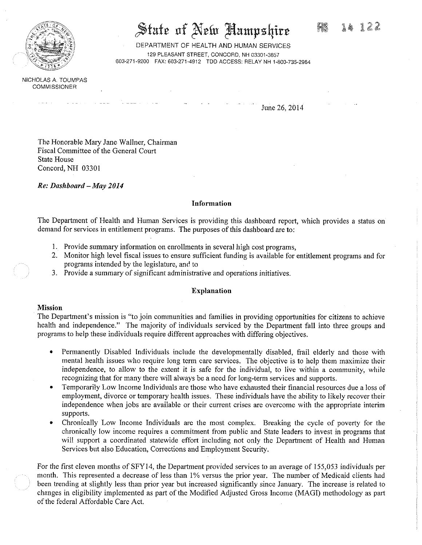

# State of New Hampshire

DEPARTMENT OF HEALTH AND HUMAN SERVICES 129 PLEASANT STREET, CONCORD, NH 03301-3857 603.271-9200 FAX: 603-271-4912 TDD ACCESS: RELAY NH 1-800-735-2964

NICHOLAS A. TOUMPAS COMMISSIONER

June 26, 2014

The Honorable Mary Jane Wallner, Chairman Fiscal Committee of the General Court State House Concord, NH 03301

*Re: Dashboard —May 2014* 

#### **Information**

The Department of Health and Human Services is providing this dashboard report, which provides a status on demand for services in entitlement programs. The purposes of this dashboard are to:

- 1. Provide summary information on enrollments in several high cost programs,
- 2. Monitor high level fiscal issues to ensure sufficient funding is available for entitlement programs and for programs intended by the legislature, and to
- 3. Provide a summary of significant administrative and operations initiatives.

#### **Explanation**

#### **Mission**

The Department's mission is "to join communities and families in providing opportunities for citizens to achieve health and independence." The majority of individuals serviced by the Department fall into three groups and programs to help these individuals require different approaches with differing objectives.

- Permanently Disabled Individuals include the developmentally disabled, frail elderly and those with mental health issues who require long term care services. The objective is to help them maximize their independence, to allow to the extent it is safe for the individual, to live within a community, while recognizing that for many there will always be a need for long-term services and supports.
- Temporarily Low Income Individuals are those who have exhausted their financial resources due a loss of employment, divorce or temporary health issues. These individuals have the ability to likely recover their independence when jobs are available or their current crises are overcome with the appropriate interim supports.
- Chronically Low Income Individuals are the most complex. Breaking the cycle of poverty for the chronically low income requires a commitment from public and State leaders to invest in programs that will support a coordinated statewide effort including not only the Department of Health and Human Services but also Education, Corrections and Employment Security.

For the first eleven months of SFY14, the Department provided services to an average of 155,053 individuals per month. This represented a decrease of less than 1% versus the prior year. The number of Medicaid clients had been trending at slightly less than prior year but increased significantly since January. The increase is related to changes in eligibility implemented as part of the Modified Adjusted Gross Income (MAGI) methodology as part of the federal Affordable Care Act.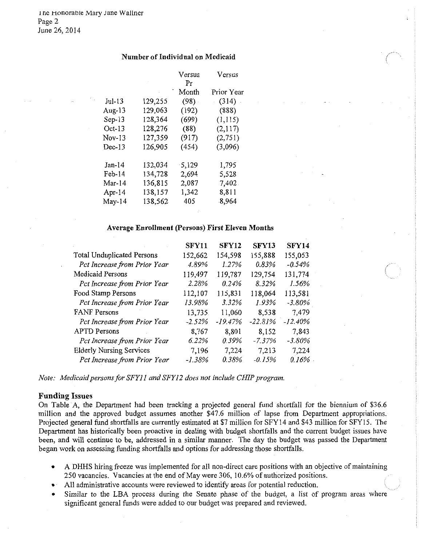## Number of Individual on Medicaid

|          |         | Versus<br>Pr | Versus     |
|----------|---------|--------------|------------|
|          |         | Month        | Prior Year |
| $Jul-13$ | 129,255 | (98)         | $(314)$ .  |
| Aug-13   | 129,063 | (192)        | (888)      |
| $Sep-13$ | 128,364 | (699)        | (1,115)    |
| $Oct-13$ | 128,276 | (88)         | (2,117)    |
| $Nov-13$ | 127,359 | (917)        | (2, 751)   |
| $Dec-13$ | 126,905 | (454)        | (3,096)    |
| $Jan-14$ | 132,034 | 5,129        | 1,795      |
| $Feb-14$ | 134,728 | 2,694        | 5,528      |
| Mar-14   | 136,815 | 2,087        | 7,402      |
| Apr-14   | 138,157 | 1,342        | 8,811      |
| $May-14$ | 138,562 | 405          | 8,964      |

# Average Enrollment (Persons) First Eleven Months

|                                   | SFY11    | <b>SFY12</b> | SFY13     | SFY14     |
|-----------------------------------|----------|--------------|-----------|-----------|
| <b>Total Unduplicated Persons</b> | 152,662  | 154,598      | 155,888   | 155,053   |
| Pct Increase from Prior Year      | 4.89%    | 1.27%        | 0.83%     | $-0.54%$  |
| Medicaid Persons                  | 119,497  | 119,787      | 129,754   | 131,774   |
| Pct Increase from Prior Year      | 2.28%    | 0.24%        | 8.32%     | 1.56%     |
| Food Stamp Persons                | 112,107  | 115,831      | 118,064   | 113,581   |
| Pct Increase from Prior Year      | 13.98%   | 3.32%        | 1.93%     | $-3.80\%$ |
| <b>FANF</b> Persons               | 13,735   | 11,060       | 8,538     | 7,479     |
| Pct Increase from Prior Year      | $-2.52%$ | $-19.47%$    | $-22.81%$ | $-12.40%$ |
| <b>APTD</b> Persons               | 8,767    | 8,801        | 8,152     | 7,843     |
| Pct Increase from Prior Year      | 6.22%    | 0.39%        | $-7.37%$  | $-3.80\%$ |
| <b>Elderly Nursing Services</b>   | 7,196    | 7,224        | 7,213     | 7,224     |
| Pct Increase from Prior Year      | $-1.38%$ | 0.38%        | $-0.15%$  | 0.16%     |

*Note: Medicaid persons far SFY11 and SFY12 does not include CHIP program.* 

#### Funding Issues

On Table A, the Department had been tracking a projected general fund shortfall for the biennium of \$36.6 million and the approved budget assumes another \$47.6 million of lapse from Department appropriations. Projected general fund shortfalls are currently estimated at \$7 million for SFY14 and \$43 million for SFY15. The Department has historically been proactive in dealing with budget shortfalls and the current budget issues have been, and will continue to be, addressed in a similar manner. The day the budget was passed the Department began work on assessing funding shortfalls and options for addressing those shortfalls.

- A DHHS hiring freeze was implemented for all non-direct care positions with an objective of maintaining 250 vacancies. Vacancies at the end of May were 306, 10.6% of authorized positions.
- All administrative accounts were reviewed to identify areas for potential reduction.
- Similar to the LBA process during the Senate phase of the budget, a list of program areas where significant general funds were added to our budget was prepared and reviewed.